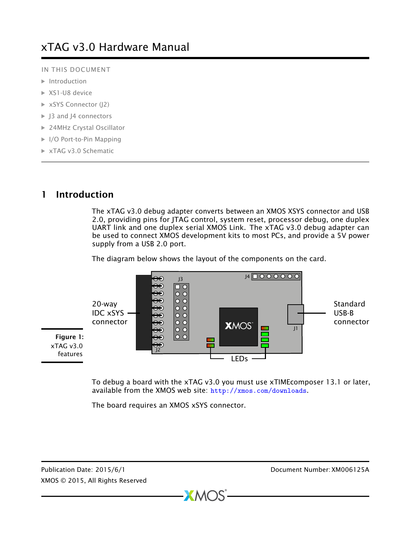IN THIS DOCUMENT

- $\blacktriangleright$  [Introduction](#page-0-0)
- ▶ [XS1-U8 device](#page-1-0)
- ▶ [xSYS Connector \(J2\)](#page-1-1)
- ▶ [J3 and J4 connectors](#page-4-0)
- ▶ [24MHz Crystal Oscillator](#page-4-1)
- ▶ [I/O Port-to-Pin Mapping](#page-5-0)
- · [xTAG v3.0 Schematic](#page-6-0)

## 1 Introduction

<span id="page-0-0"></span>The xTAG v3.0 debug adapter converts between an XMOS XSYS connector and USB 2.0, providing pins for JTAG control, system reset, processor debug, one duplex UART link and one duplex serial XMOS Link. The xTAG v3.0 debug adapter can be used to connect XMOS development kits to most PCs, and provide a 5V power supply from a USB 2.0 port.

The diagram below shows the layout of the components on the card.



 $XMOS$ 

To debug a board with the xTAG v3.0 you must use xTIMEcomposer 13.1 or later, available from the XMOS web site: <http://xmos.com/downloads>.

The board requires an XMOS xSYS connector.

Publication Date: 2015/6/1 Document Number: XM006125A XMOS © 2015, All Rights Reserved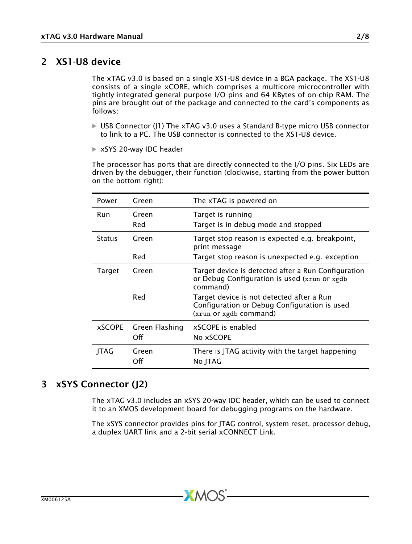### 2 XS1-U8 device

<span id="page-1-0"></span>The xTAG v3.0 is based on a single XS1-U8 device in a BGA package. The XS1-U8 consists of a single xCORE, which comprises a multicore microcontroller with tightly integrated general purpose I/O pins and 64 KBytes of on-chip RAM. The pins are brought out of the package and connected to the card's components as follows:

- $\triangleright$  USB Connector (J1) The xTAG v3.0 uses a Standard B-type micro USB connector to link to a PC. The USB connector is connected to the XS1-U8 device.
- ▶ xSYS 20-way IDC header

The processor has ports that are directly connected to the I/O pins. Six LEDs are driven by the debugger, their function (clockwise, starting from the power button on the bottom right):

| Power         | Green                                                     | The xTAG is powered on                                                                                              |  |  |
|---------------|-----------------------------------------------------------|---------------------------------------------------------------------------------------------------------------------|--|--|
| Run           | Green                                                     | Target is running                                                                                                   |  |  |
|               | Red                                                       | Target is in debug mode and stopped                                                                                 |  |  |
| <b>Status</b> | Green                                                     | Target stop reason is expected e.g. breakpoint,<br>print message                                                    |  |  |
|               | Red                                                       | Target stop reason is unexpected e.g. exception                                                                     |  |  |
| Target        | Green                                                     | Target device is detected after a Run Configuration<br>or Debug Configuration is used (xrun or xgdb)<br>command)    |  |  |
|               | Red                                                       | Target device is not detected after a Run<br>Configuration or Debug Configuration is used<br>(xrun or xgdb command) |  |  |
| <b>xSCOPE</b> | Green Flashing<br>Off                                     | xSCOPE is enabled<br>No xSCOPE                                                                                      |  |  |
|               |                                                           |                                                                                                                     |  |  |
| JTAG          | There is JTAG activity with the target happening<br>Green |                                                                                                                     |  |  |
|               | Off                                                       | No JTAG                                                                                                             |  |  |

### 3 xSYS Connector (J2)

<span id="page-1-1"></span>The xTAG v3.0 includes an xSYS 20-way IDC header, which can be used to connect it to an XMOS development board for debugging programs on the hardware.

The xSYS connector provides pins for JTAG control, system reset, processor debug, a duplex UART link and a 2-bit serial xCONNECT Link.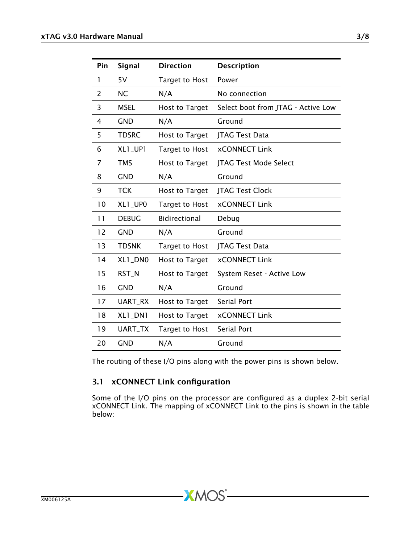| Pin | Signal       | <b>Direction</b>      | <b>Description</b>                 |
|-----|--------------|-----------------------|------------------------------------|
| 1   | 5V           | <b>Target to Host</b> | Power                              |
| 2   | <b>NC</b>    | N/A                   | No connection                      |
| 3   | <b>MSEL</b>  | <b>Host to Target</b> | Select boot from JTAG - Active Low |
| 4   | <b>GND</b>   | N/A                   | Ground                             |
| 5   | <b>TDSRC</b> | Host to Target        | <b>ITAG Test Data</b>              |
| 6   | XL1_UP1      | <b>Target to Host</b> | <b>xCONNECT Link</b>               |
| 7   | <b>TMS</b>   | <b>Host to Target</b> | JTAG Test Mode Select              |
| 8   | <b>GND</b>   | N/A                   | Ground                             |
| 9   | <b>TCK</b>   | <b>Host to Target</b> | <b>JTAG Test Clock</b>             |
| 10  | XL1_UP0      | <b>Target to Host</b> | <b>xCONNECT Link</b>               |
| 11  | <b>DEBUG</b> | <b>Bidirectional</b>  | Debug                              |
| 12  | <b>GND</b>   | N/A                   | Ground                             |
| 13  | <b>TDSNK</b> | <b>Target to Host</b> | <b>ITAG Test Data</b>              |
| 14  | XL1_DN0      | Host to Target        | <b>xCONNECT Link</b>               |
| 15  | RST_N        | <b>Host to Target</b> | System Reset - Active Low          |
| 16  | <b>GND</b>   | N/A                   | Ground                             |
| 17  | UART_RX      | Host to Target        | <b>Serial Port</b>                 |
| 18  | XL1_DN1      | <b>Host to Target</b> | <b>xCONNECT Link</b>               |
| 19  | UART_TX      | Target to Host        | Serial Port                        |
| 20  | <b>GND</b>   | N/A                   | Ground                             |

The routing of these I/O pins along with the power pins is shown below.

**XMOS** 

#### 3.1 xCONNECT Link configuration

Some of the I/O pins on the processor are configured as a duplex 2-bit serial xCONNECT Link. The mapping of xCONNECT Link to the pins is shown in the table below: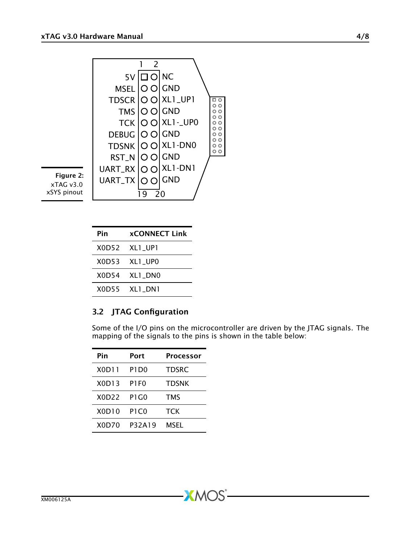

| Pin | <b>xCONNECT Link</b> |
|-----|----------------------|
|     | XOD52 XL1 UP1        |
|     | XOD53 XL1 UPO        |
|     | X0D54 XL1 DN0        |
|     | X0D55 XL1 DN1        |

#### 3.2 JTAG Configuration

Some of the I/O pins on the microcontroller are driven by the JTAG signals. The mapping of the signals to the pins is shown in the table below:

| Pin   | Port             | <b>Processor</b> |
|-------|------------------|------------------|
| X0D11 | P1D <sub>0</sub> | <b>TDSRC</b>     |
| X0D13 | P1F0             | <b>TDSNK</b>     |
| X0D22 | P1 G0            | <b>TMS</b>       |
| X0D10 | P1C0             | тск              |
| X0D70 | P32A19           | <b>MSEL</b>      |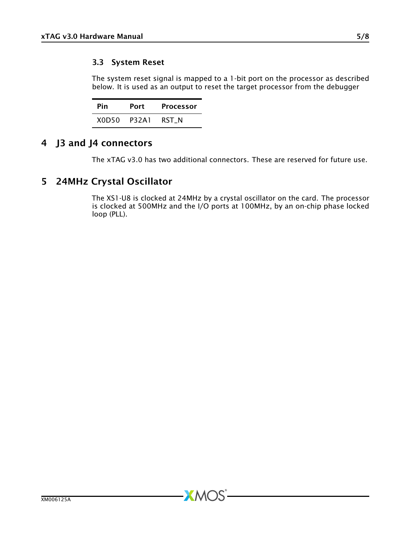#### 3.3 System Reset

The system reset signal is mapped to a 1-bit port on the processor as described below. It is used as an output to reset the target processor from the debugger

| Pin                            | Port  | Processor |
|--------------------------------|-------|-----------|
| X <sub>0</sub> D <sub>50</sub> | P32A1 | RST N     |

# 4 J3 and J4 connectors

<span id="page-4-1"></span><span id="page-4-0"></span>The xTAG v3.0 has two additional connectors. These are reserved for future use.

# 5 24MHz Crystal Oscillator

The XS1-U8 is clocked at 24MHz by a crystal oscillator on the card. The processor is clocked at 500MHz and the I/O ports at 100MHz, by an on-chip phase locked loop (PLL).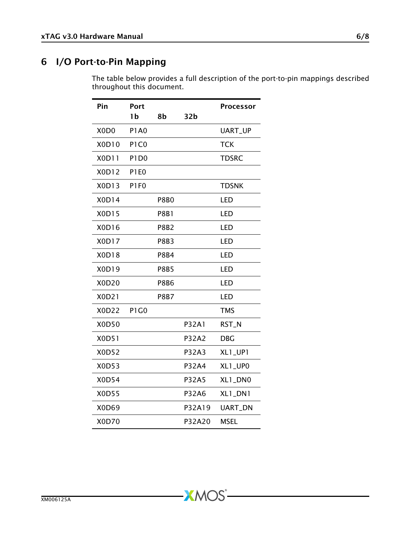# 6 I/O Port-to-Pin Mapping

<span id="page-5-0"></span>The table below provides a full description of the port-to-pin mappings described throughout this document.

| Pin                           | Port                          |             |                 | Processor    |
|-------------------------------|-------------------------------|-------------|-----------------|--------------|
|                               | 1b                            | 8b          | 32 <sub>b</sub> |              |
| X <sub>0</sub> D <sub>0</sub> | <b>P1A0</b>                   |             |                 | UART_UP      |
| X0D10                         | P <sub>1</sub> C <sub>0</sub> |             |                 | <b>TCK</b>   |
| X0D11                         | P <sub>1</sub> D <sub>0</sub> |             |                 | <b>TDSRC</b> |
| X0D12                         | P1E0                          |             |                 |              |
| X0D13                         | P <sub>1F0</sub>              |             |                 | <b>TDSNK</b> |
| X0D14                         |                               | <b>P8B0</b> |                 | LED          |
| X0D15                         |                               | <b>P8B1</b> |                 | LED          |
| X0D16                         |                               | <b>P8B2</b> |                 | LED          |
| X0D17                         |                               | <b>P8B3</b> |                 | LED          |
| X0D18                         |                               | <b>P8B4</b> |                 | LED          |
| X0D19                         |                               | <b>P8B5</b> |                 | LED          |
| X0D20                         |                               | <b>P8B6</b> |                 | LED          |
| X0D21                         |                               | <b>P8B7</b> |                 | LED          |
| X0D22                         | P <sub>1</sub> G <sub>0</sub> |             |                 | <b>TMS</b>   |
| X0D50                         |                               |             | <b>P32A1</b>    | RST_N        |
| X0D51                         |                               |             | P32A2           | <b>DBG</b>   |
| X0D52                         |                               |             | P32A3           | XL1_UP1      |
| X0D53                         |                               |             | P32A4           | XL1_UP0      |
| <b>X0D54</b>                  |                               |             | <b>P32A5</b>    | XL1_DN0      |
| <b>X0D55</b>                  |                               |             | P32A6           | XL1_DN1      |
| X0D69                         |                               |             | P32A19          | UART_DN      |
| X0D70                         |                               |             | P32A20          | <b>MSEL</b>  |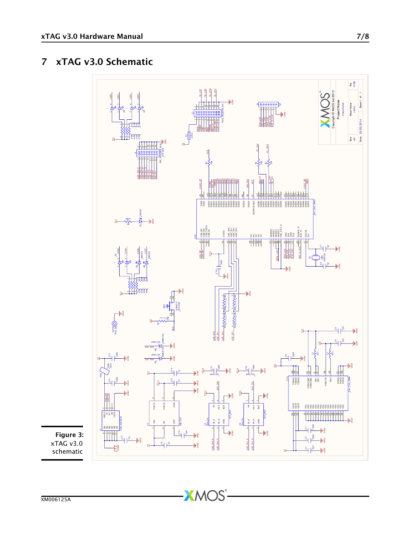# 7 xTAG v3.0 Schematic

<span id="page-6-0"></span>

**XMOS** 

Figure 3: xTAG v3.0 schematic